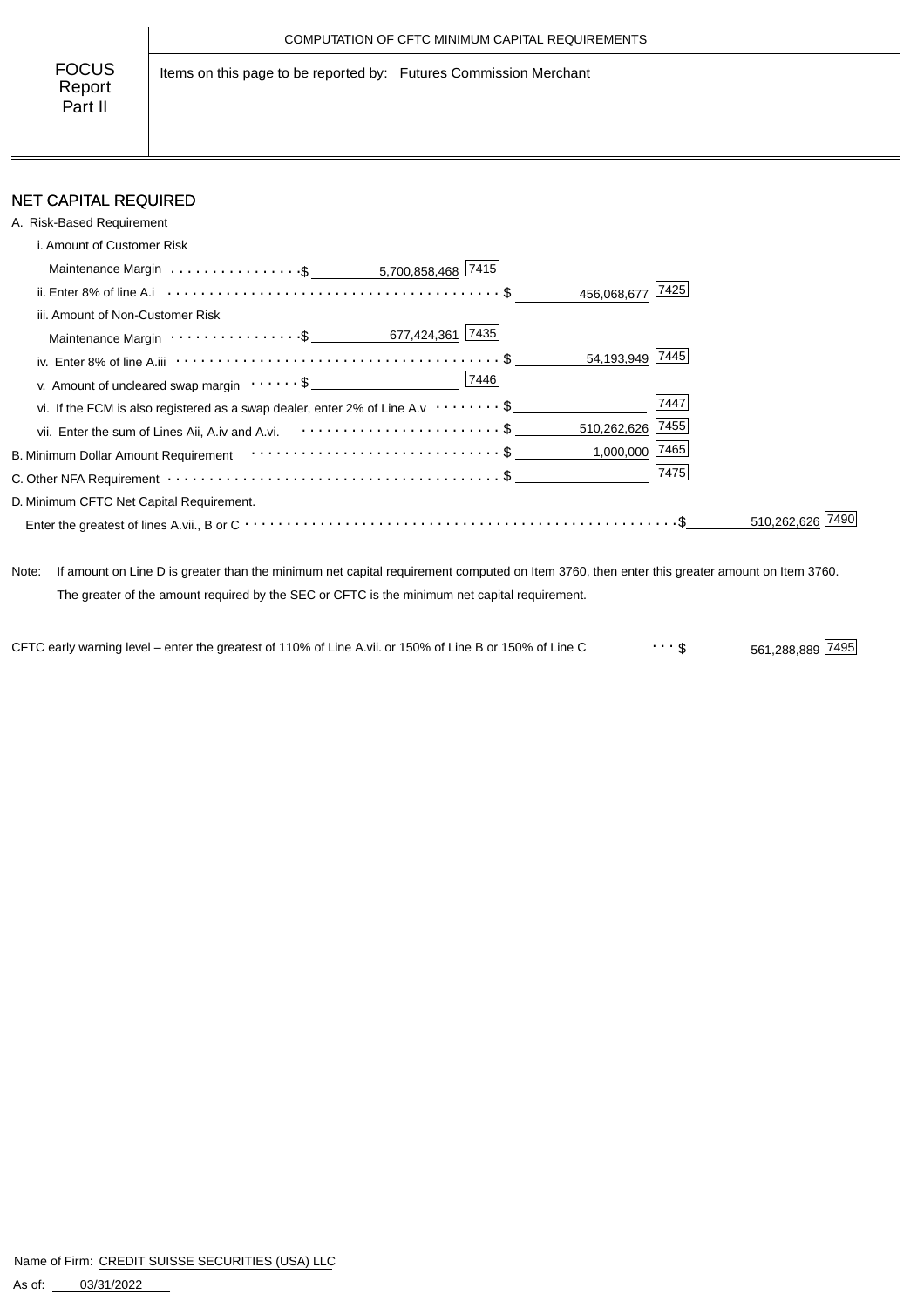Items on this page to be reported by: Futures Commission Merchant

# NET CAPITAL REQUIRED

| A. Risk-Based Requirement                                                                    |             |
|----------------------------------------------------------------------------------------------|-------------|
| i. Amount of Customer Risk                                                                   |             |
|                                                                                              |             |
| 456,068,677 7425                                                                             |             |
| iii. Amount of Non-Customer Risk                                                             |             |
|                                                                                              |             |
| 54,193,949 7445                                                                              |             |
| v. Amount of uncleared swap margin $\cdots \cdots$ \$                                        |             |
| vi. If the FCM is also registered as a swap dealer, enter 2% of Line A.v $\cdots \cdots \$   | 7447        |
| 510,262,626 7455<br>vii. Enter the sum of Lines Aii, A.iv and A.vi. <b>Formal A.s.</b> 1997. |             |
| $1,000,000$ 7465                                                                             |             |
|                                                                                              | 7475        |
| D. Minimum CFTC Net Capital Requirement.                                                     |             |
|                                                                                              | 510.262.626 |

Note: If amount on Line D is greater than the minimum net capital requirement computed on Item 3760, then enter this greater amount on Item 3760. The greater of the amount required by the SEC or CFTC is the minimum net capital requirement.

561,288,889 \$ CFTC early warning level – enter the greatest of 110% of Line A.vii. or 150% of Line B or 150% of Line C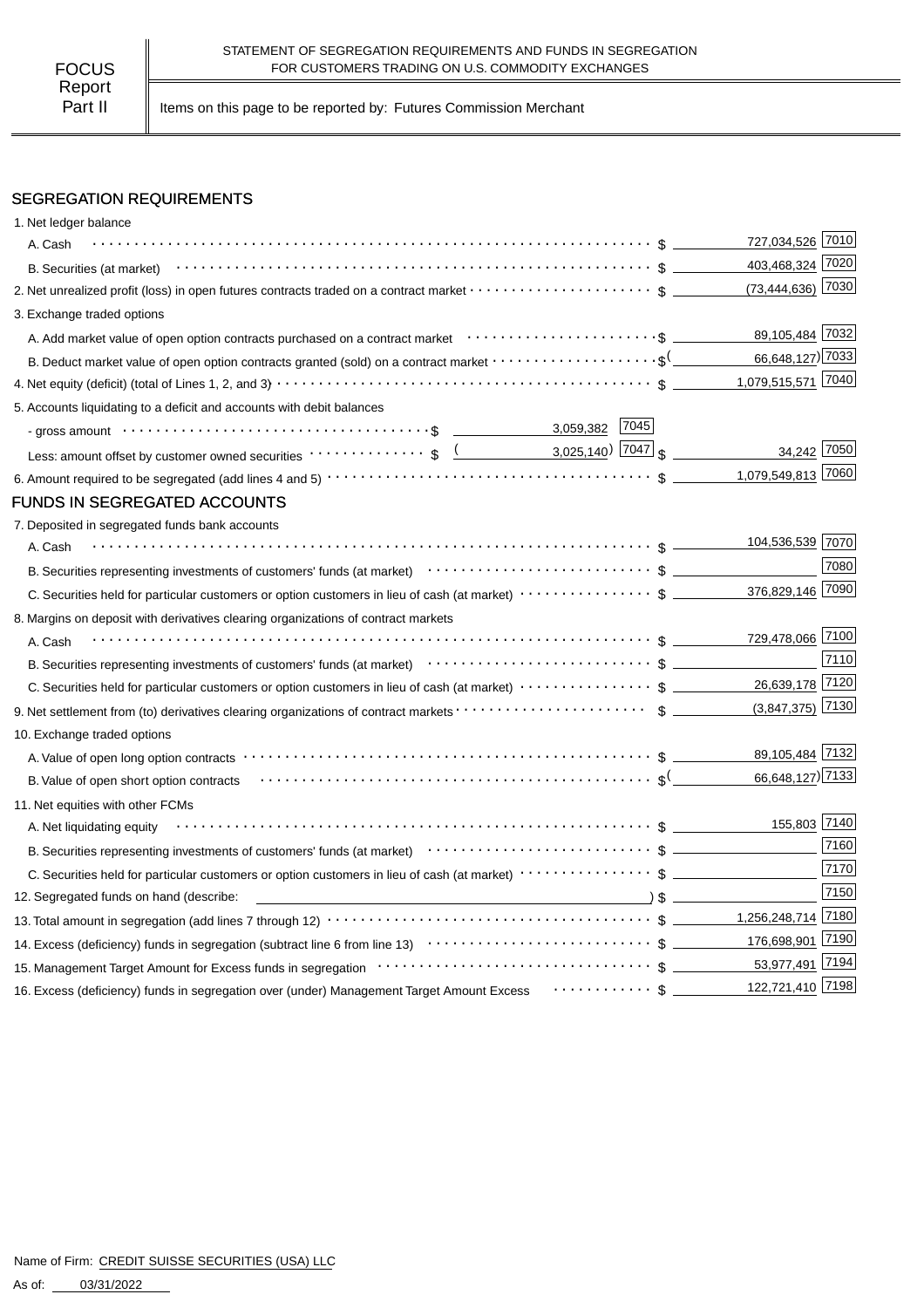Part II | Items on this page to be reported by: Futures Commission Merchant

## SEGREGATION REQUIREMENTS

| 1. Net ledger balance                                                                                                                                            |                     |      |
|------------------------------------------------------------------------------------------------------------------------------------------------------------------|---------------------|------|
| A. Cash                                                                                                                                                          | 727,034,526 7010    |      |
| B. Securities (at market) $\cdots$ $\cdots$ $\cdots$ $\cdots$ $\cdots$ $\cdots$ $\cdots$ $\cdots$ $\cdots$ $\cdots$ $\cdots$ $\cdots$ $\cdots$ $\cdots$ $\cdots$ | 403,468,324 7020    |      |
| 2. Net unrealized profit (loss) in open futures contracts traded on a contract market $\cdots\cdots\cdots\cdots\cdots\cdots$ \$                                  | $(73,444,636)$ 7030 |      |
| 3. Exchange traded options                                                                                                                                       |                     |      |
|                                                                                                                                                                  | 89,105,484 7032     |      |
|                                                                                                                                                                  | 66,648,127) 7033    |      |
|                                                                                                                                                                  | 1,079,515,571 7040  |      |
| 5. Accounts liquidating to a deficit and accounts with debit balances                                                                                            |                     |      |
| 7045 <br>3,059,382<br>- gross amount $\cdots$ $\cdots$ $\cdots$ $\cdots$ $\cdots$ $\cdots$ $\cdots$ $\cdots$ $\cdots$ $\cdots$ $\cdots$                          |                     |      |
| Less: amount offset by customer owned securities $\cdots \cdots \cdots \cdots$ \$ $($ 3,025,140 $)$ $ 7047 $ \$                                                  | 34,242 7050         |      |
|                                                                                                                                                                  | 1,079,549,813 7060  |      |
| FUNDS IN SEGREGATED ACCOUNTS                                                                                                                                     |                     |      |
| 7. Deposited in segregated funds bank accounts                                                                                                                   |                     |      |
| A. Cash                                                                                                                                                          | 104,536,539 7070    |      |
|                                                                                                                                                                  |                     | 7080 |
|                                                                                                                                                                  | 376,829,146 7090    |      |
| 8. Margins on deposit with derivatives clearing organizations of contract markets                                                                                |                     |      |
| A. Cash                                                                                                                                                          | 729,478,066 7100    |      |
|                                                                                                                                                                  |                     | 7110 |
| C. Securities held for particular customers or option customers in lieu of cash (at market) $\cdots\cdots\cdots\cdots\$                                          | 26,639,178 7120     |      |
|                                                                                                                                                                  | $(3,847,375)$ 7130  |      |
| 10. Exchange traded options                                                                                                                                      |                     |      |
|                                                                                                                                                                  | 89,105,484 7132     |      |
| B. Value of open short option contracts $\cdots \cdots \cdots \cdots \cdots \cdots \cdots \cdots \cdots \cdots \cdots \cdots \cdots$                             | 66,648,127) 7133    |      |
| 11. Net equities with other FCMs                                                                                                                                 |                     |      |
| A. Net liquidating equity                                                                                                                                        | 155,803 7140        |      |
| B. Securities representing investments of customers' funds (at market)<br>$\cdots \cdots \cdots \cdots \cdots \cdots \cdots$ S                                   |                     | 7160 |
|                                                                                                                                                                  |                     | 7170 |
| 12. Segregated funds on hand (describe:                                                                                                                          |                     | 7150 |
|                                                                                                                                                                  |                     |      |
|                                                                                                                                                                  |                     |      |
|                                                                                                                                                                  |                     |      |
| 16. Excess (deficiency) funds in segregation over (under) Management Target Amount Excess Framment Section Section                                               | 122,721,410 7198    |      |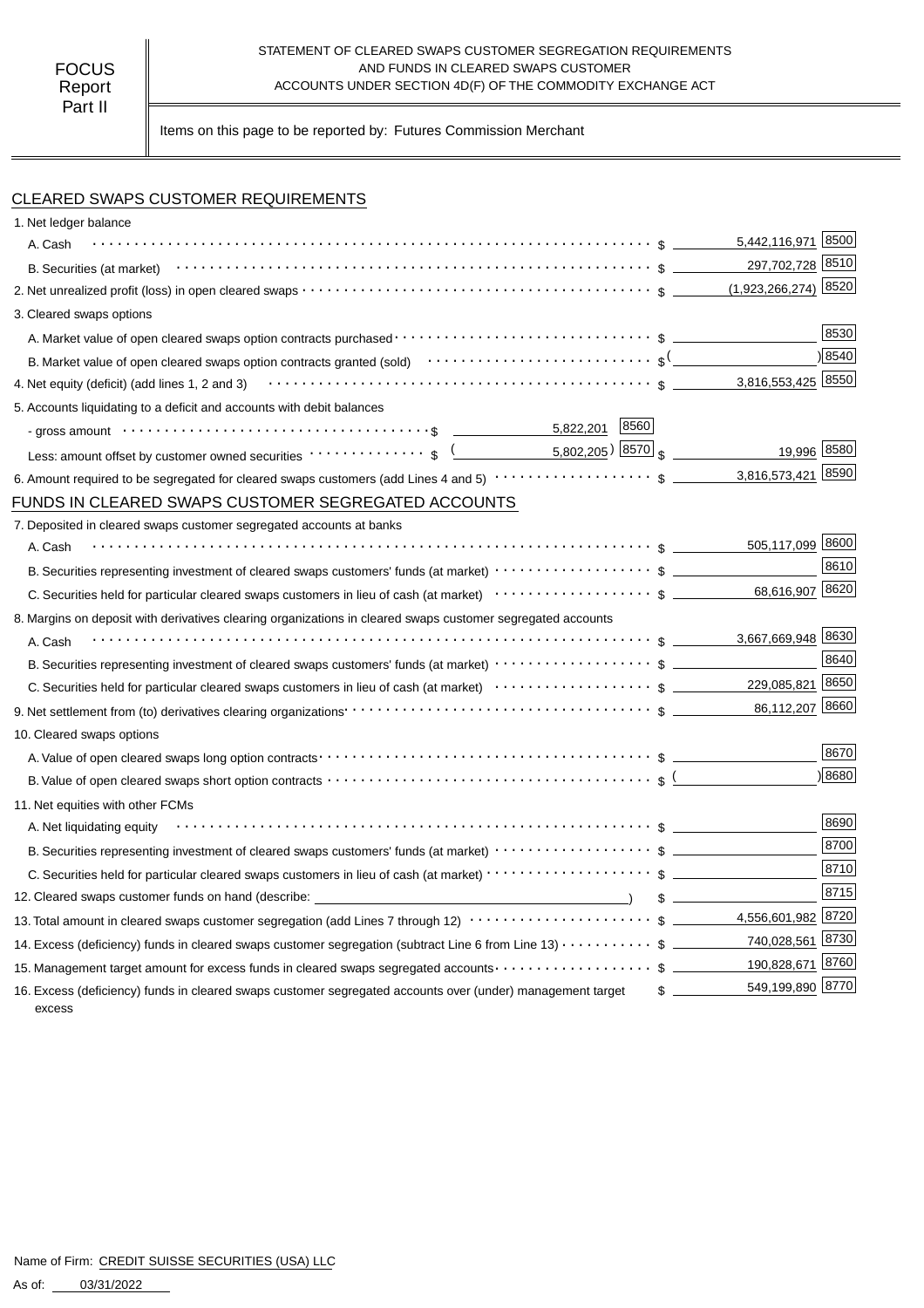#### STATEMENT OF CLEARED SWAPS CUSTOMER SEGREGATION REQUIREMENTS AND FUNDS IN CLEARED SWAPS CUSTOMER ACCOUNTS UNDER SECTION 4D(F) OF THE COMMODITY EXCHANGE ACT

Items on this page to be reported by: Futures Commission Merchant

## CLEARED SWAPS CUSTOMER REQUIREMENTS

| 1. Net ledger balance                                                                                                                                                                                   |      |                                               |      |
|---------------------------------------------------------------------------------------------------------------------------------------------------------------------------------------------------------|------|-----------------------------------------------|------|
| A. Cash                                                                                                                                                                                                 |      | 5,442,116,971                                 | 8500 |
|                                                                                                                                                                                                         |      | 297,702,728 8510                              |      |
|                                                                                                                                                                                                         |      | $(1,923,266,274)$ 8520                        |      |
| 3. Cleared swaps options                                                                                                                                                                                |      |                                               |      |
|                                                                                                                                                                                                         |      |                                               | 8530 |
| B. Market value of open cleared swaps option contracts granted (sold) $\cdots \cdots \cdots \cdots \cdots \cdots \cdots$                                                                                |      |                                               | 8540 |
| 4. Net equity (deficit) (add lines 1, 2 and 3) $\cdots$ $\cdots$ $\cdots$ $\cdots$ $\cdots$ $\cdots$ $\cdots$ $\cdots$ $\cdots$ $\cdots$ $\cdots$ $\cdots$ $\cdots$ $\cdots$ $\cdots$ $\cdots$ $\cdots$ |      | 3,816,553,425 8550                            |      |
| 5. Accounts liquidating to a deficit and accounts with debit balances                                                                                                                                   |      |                                               |      |
| 5,822,201<br>- gross amount $\cdots$ $\cdots$ $\cdots$ $\cdots$ $\cdots$ $\cdots$ $\cdots$ $\cdots$ $\cdots$ $\cdots$ $\cdots$ $\cdots$                                                                 | 8560 |                                               |      |
| Less: amount offset by customer owned securities ·················\$                                                                                                                                    |      | 19,996 8580<br>5,802, <u>205)</u> 8570 $_{s}$ |      |
|                                                                                                                                                                                                         |      | 3,816,573,421                                 | 8590 |
| FUNDS IN CLEARED SWAPS CUSTOMER SEGREGATED ACCOUNTS                                                                                                                                                     |      |                                               |      |
| 7. Deposited in cleared swaps customer segregated accounts at banks                                                                                                                                     |      |                                               |      |
| A. Cash                                                                                                                                                                                                 |      | 505,117,099 8600                              |      |
|                                                                                                                                                                                                         |      |                                               | 8610 |
|                                                                                                                                                                                                         |      | 68,616,907 8620                               |      |
| 8. Margins on deposit with derivatives clearing organizations in cleared swaps customer segregated accounts                                                                                             |      |                                               |      |
| A. Cash                                                                                                                                                                                                 |      | 3,667,669,948 8630                            |      |
| B. Securities representing investment of cleared swaps customers' funds (at market) $\cdots\cdots\cdots\cdots\cdots\cdots$ \$                                                                           |      |                                               | 8640 |
|                                                                                                                                                                                                         |      | 229,085,821                                   | 8650 |
|                                                                                                                                                                                                         |      |                                               |      |
| 10. Cleared swaps options                                                                                                                                                                               |      |                                               |      |
|                                                                                                                                                                                                         |      |                                               | 8670 |
|                                                                                                                                                                                                         |      |                                               | 8680 |
| 11. Net equities with other FCMs                                                                                                                                                                        |      |                                               |      |
| A. Net liquidating equity                                                                                                                                                                               |      |                                               | 8690 |
| B. Securities representing investment of cleared swaps customers' funds (at market) $\cdots\cdots\cdots\cdots\cdots$ \$                                                                                 |      |                                               | 8700 |
|                                                                                                                                                                                                         |      |                                               | 8710 |
| 12. Cleared swaps customer funds on hand (describe: _____________________________                                                                                                                       |      | $\sim$                                        | 8715 |
| 13. Total amount in cleared swaps customer segregation (add Lines 7 through 12) $\cdots\cdots\cdots\cdots\cdots\cdots\cdots$ \$ ________4,556,601,982 8720                                              |      |                                               |      |
| 14. Excess (deficiency) funds in cleared swaps customer segregation (subtract Line 6 from Line 13) $\cdots\cdots\cdots$ \$                                                                              |      | 740,028,561 8730                              |      |
| 15. Management target amount for excess funds in cleared swaps segregated accounts $\cdots\cdots\cdots\cdots\cdots\$                                                                                    |      | 190,828,671 8760                              |      |
| 16. Excess (deficiency) funds in cleared swaps customer segregated accounts over (under) management target<br>excess                                                                                    |      | 549,199,890 8770                              |      |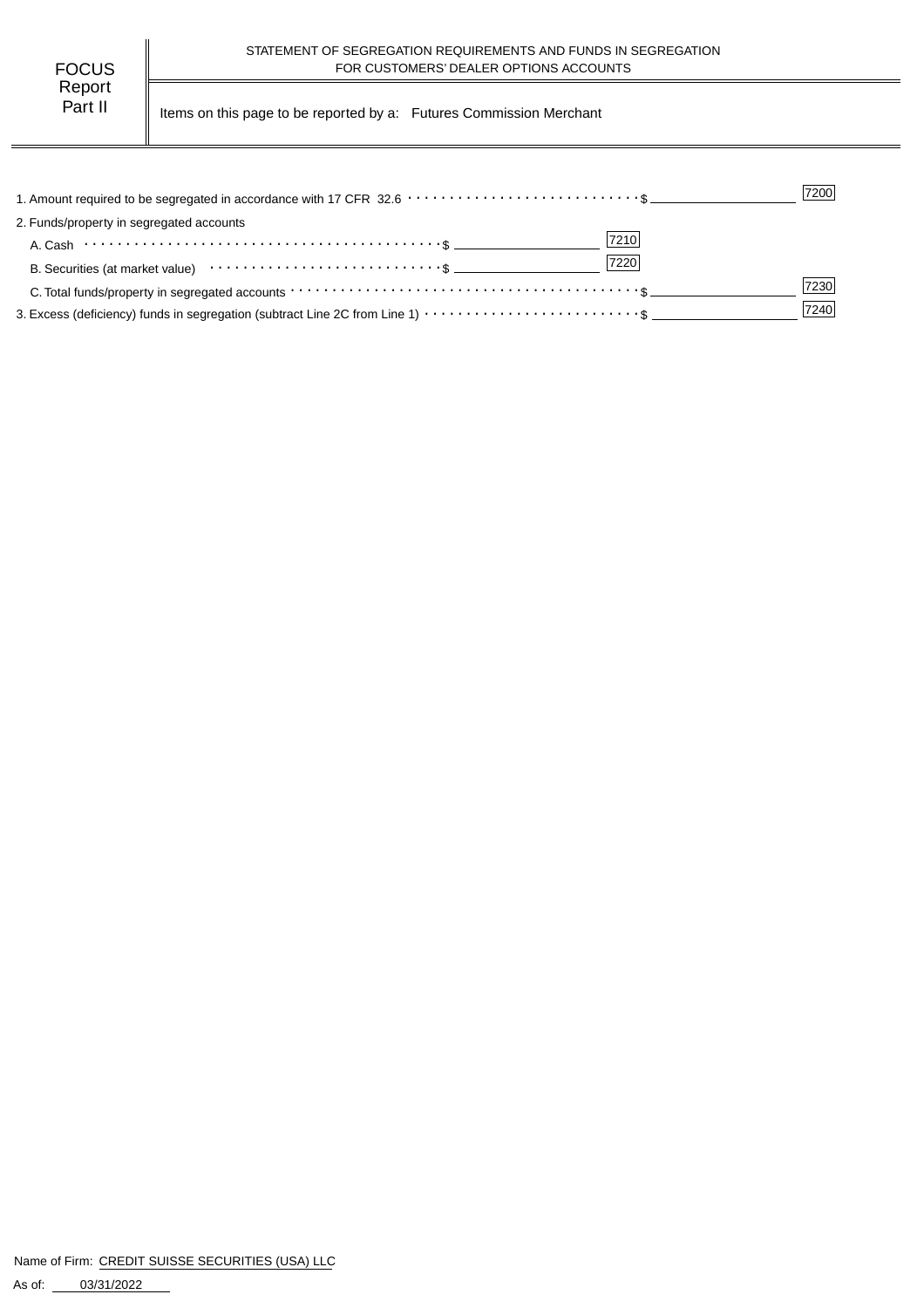| FOCUS   |  |  |  |  |
|---------|--|--|--|--|
| Report  |  |  |  |  |
| Part II |  |  |  |  |

Items on this page to be reported by a: Futures Commission Merchant

|                                                                                                                                                                 | 7200 |
|-----------------------------------------------------------------------------------------------------------------------------------------------------------------|------|
| 2. Funds/property in segregated accounts                                                                                                                        |      |
| 7210<br>A. Cash $\cdots$ $\cdots$ $\cdots$ $\cdots$ $\cdots$ $\cdots$ $\cdots$ $\cdots$ $\cdots$ $\cdots$ $\cdots$ $\cdots$ $\cdots$ $\cdots$ $\cdots$ $\cdots$ |      |
| 7220                                                                                                                                                            |      |
|                                                                                                                                                                 | 7230 |
|                                                                                                                                                                 | 7240 |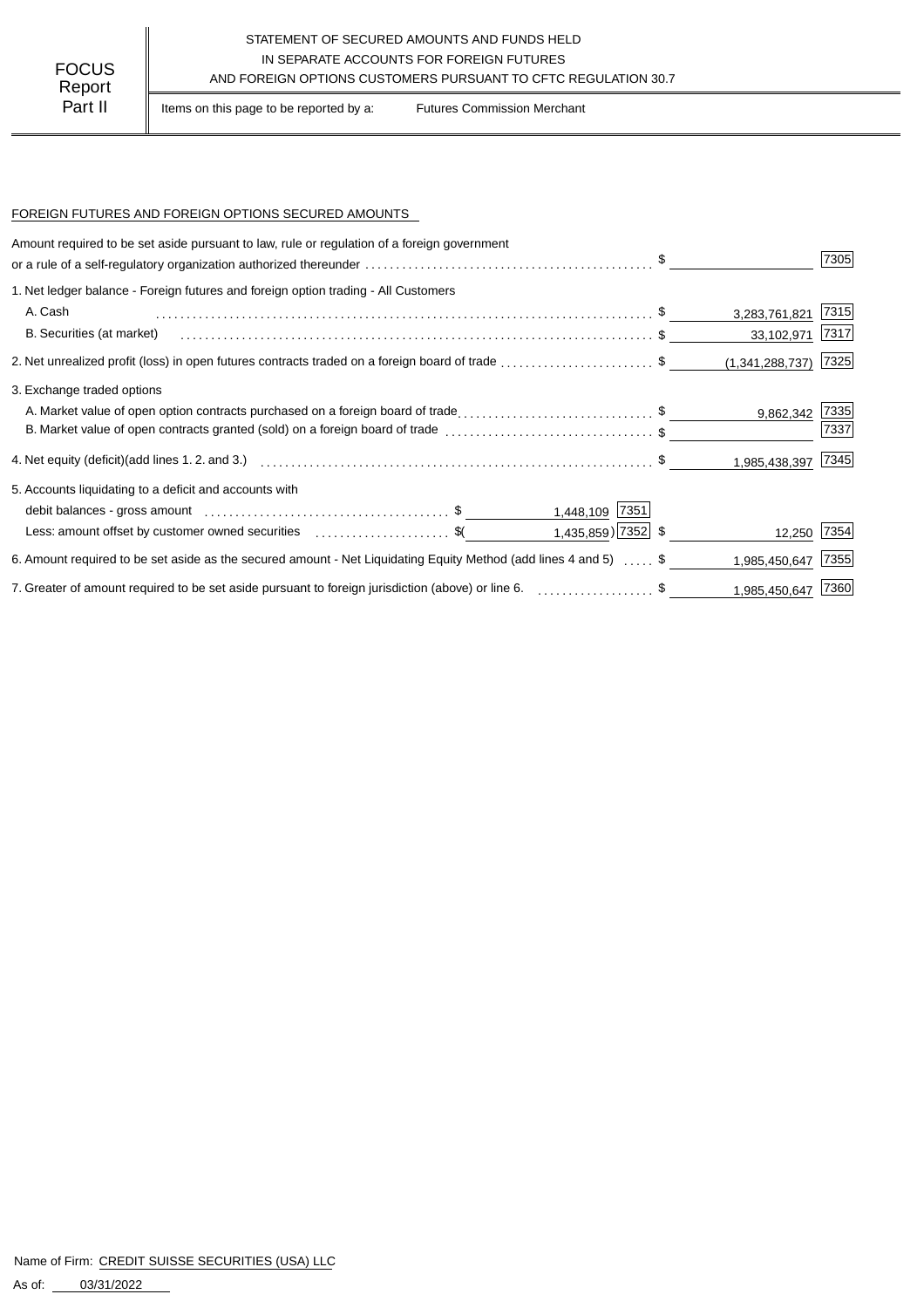## STATEMENT OF SECURED AMOUNTS AND FUNDS HELD IN SEPARATE ACCOUNTS FOR FOREIGN FUTURES FOCUS IN SEPARATE ACCOUNTS FOR FOREIGN FUTURES<br>Report

Part II | Items on this page to be reported by a: Futures Commission Merchant

#### FOREIGN FUTURES AND FOREIGN OPTIONS SECURED AMOUNTS

| Amount required to be set aside pursuant to law, rule or regulation of a foreign government                      |                    |      |
|------------------------------------------------------------------------------------------------------------------|--------------------|------|
|                                                                                                                  |                    | 7305 |
| 1. Net ledger balance - Foreign futures and foreign option trading - All Customers                               |                    |      |
| A. Cash                                                                                                          | 3,283,761,821      | 7315 |
| B. Securities (at market)                                                                                        | 33,102,971         | 7317 |
| 2. Net unrealized profit (loss) in open futures contracts traded on a foreign board of trade \$                  | (1,341,288,737)    | 7325 |
| 3. Exchange traded options                                                                                       |                    |      |
| A. Market value of open option contracts purchased on a foreign board of trade\$                                 | 9,862,342          | 7335 |
| B. Market value of open contracts granted (sold) on a foreign board of trade \$                                  |                    | 7337 |
|                                                                                                                  | 1,985,438,397 7345 |      |
| 5. Accounts liquidating to a deficit and accounts with                                                           |                    |      |
| 1,448,109 7351                                                                                                   |                    |      |
| $1,435,859$ 7352 \$<br>Less: amount offset by customer owned securities \$                                       | 12,250 7354        |      |
| 6. Amount required to be set aside as the secured amount - Net Liquidating Equity Method (add lines 4 and 5)  \$ | 1,985,450,647      | 7355 |
| 7. Greater of amount required to be set aside pursuant to foreign jurisdiction (above) or line 6. \$             | 1,985,450,647 7360 |      |